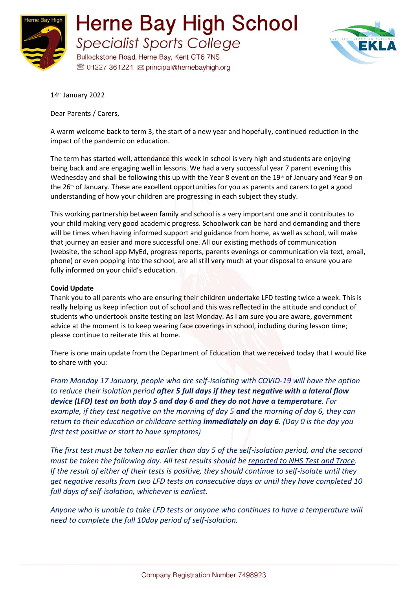



14th January 2022

Dear Parents / Carers,

A warm welcome back to term 3, the start of a new year and hopefully, continued reduction in the impact of the pandemic on education.

The term has started well, attendance this week in school is very high and students are enjoying being back and are engaging well in lessons. We had a very successful year 7 parent evening this Wednesday and shall be following this up with the Year 8 event on the  $19<sup>th</sup>$  of January and Year 9 on the 26<sup>th</sup> of January. These are excellent opportunities for you as parents and carers to get a good understanding of how your children are progressing in each subject they study.

This working partnership between family and school is a very important one and it contributes to your child making very good academic progress. Schoolwork can be hard and demanding and there will be times when having informed support and guidance from home, as well as school, will make that journey an easier and more successful one. All our existing methods of communication (website, the school app MyEd, progress reports, parents evenings or communication via text, email, phone) or even popping into the school, are all still very much at your disposal to ensure you are fully informed on your child's education.

## **Covid Update**

Thank you to all parents who are ensuring their children undertake LFD testing twice a week. This is really helping us keep infection out of school and this was reflected in the attitude and conduct of students who undertook onsite testing on last Monday. As I am sure you are aware, government advice at the moment is to keep wearing face coverings in school, including during lesson time; please continue to reiterate this at home.

There is one main update from the Department of Education that we received today that I would like to share with you:

*From Monday 17 January, people who are self-isolating with COVID-19 will have the option to reduce their isolation period after 5 full days if they test negative with a lateral flow device (LFD) test on both day 5 and day 6 and they do not have a temperature. For example, if they test negative on the morning of day 5 and the morning of day 6, they can return to their education or childcare setting immediately on day 6. (Day 0 is the day you first test positive or start to have symptoms)*

*The first test must be taken no earlier than day 5 of the self-isolation period, and the second must be taken the following day. All test results should be [reported to NHS Test and Trace.](https://www.gov.uk/report-covid19-result?utm_source=14%20January%202022%20C19&utm_medium=Daily%20Email%20C19&utm_campaign=DfE%20C19) If the result of either of their tests is positive, they should continue to self-isolate until they get negative results from two LFD tests on consecutive days or until they have completed 10 full days of self-isolation, whichever is earliest.*

*Anyone who is unable to take LFD tests or anyone who continues to have a temperature will need to complete the full 10day period of self-isolation.*